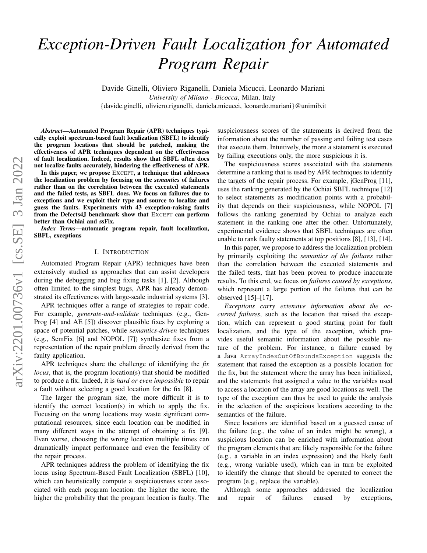# *Exception-Driven Fault Localization for Automated Program Repair*

Davide Ginelli, Oliviero Riganelli, Daniela Micucci, Leonardo Mariani *University of Milano - Bicocca*, Milan, Italy {davide.ginelli, oliviero.riganelli, daniela.micucci, leonardo.mariani}@unimib.it

*Abstract*—Automated Program Repair (APR) techniques typically exploit spectrum-based fault localization (SBFL) to identify the program locations that should be patched, making the effectiveness of APR techniques dependent on the effectiveness of fault localization. Indeed, results show that SBFL often does not localize faults accurately, hindering the effectiveness of APR.

In this paper, we propose EXCEPT, a technique that addresses the localization problem by focusing on the *semantics* of failures rather than on the correlation between the executed statements and the failed tests, as SBFL does. We focus on failures due to exceptions and we exploit their type and source to localize and guess the faults. Experiments with 43 exception-raising faults from the Defects4J benchmark show that EXCEPT can perform better than Ochiai and ssFix.

*Index Terms*—automatic program repair, fault localization, SBFL, exceptions

#### I. INTRODUCTION

Automated Program Repair (APR) techniques have been extensively studied as approaches that can assist developers during the debugging and bug fixing tasks [\[1\]](#page-9-0), [\[2\]](#page-9-1). Although often limited to the simplest bugs, APR has already demonstrated its effectiveness with large-scale industrial systems [\[3\]](#page-9-2).

APR techniques offer a range of strategies to repair code. For example, *generate-and-validate* techniques (e.g., Gen-Prog [\[4\]](#page-9-3) and AE [\[5\]](#page-9-4)) discover plausible fixes by exploring a space of potential patches, while *semantics-driven* techniques (e.g., SemFix [\[6\]](#page-9-5) and NOPOL [\[7\]](#page-9-6)) synthesize fixes from a representation of the repair problem directly derived from the faulty application.

APR techniques share the challenge of identifying the *fix locus*, that is, the program location(s) that should be modified to produce a fix. Indeed, it is *hard or even impossible* to repair a fault without selecting a good location for the fix [\[8\]](#page-9-7).

The larger the program size, the more difficult it is to identify the correct location(s) in which to apply the fix. Focusing on the wrong locations may waste significant computational resources, since each location can be modified in many different ways in the attempt of obtaining a fix [\[9\]](#page-9-8). Even worse, choosing the wrong location multiple times can dramatically impact performance and even the feasibility of the repair process.

APR techniques address the problem of identifying the fix locus using Spectrum-Based Fault Localization (SBFL) [\[10\]](#page-9-9), which can heuristically compute a suspiciousness score associated with each program location: the higher the score, the higher the probability that the program location is faulty. The suspiciousness scores of the statements is derived from the information about the number of passing and failing test cases that execute them. Intuitively, the more a statement is executed by failing executions only, the more suspicious it is.

The suspiciousness scores associated with the statements determine a ranking that is used by APR techniques to identify the targets of the repair process. For example, jGenProg [\[11\]](#page-9-10), uses the ranking generated by the Ochiai SBFL technique [\[12\]](#page-9-11) to select statements as modification points with a probability that depends on their suspiciousness, while NOPOL [\[7\]](#page-9-6) follows the ranking generated by Ochiai to analyze each statement in the ranking one after the other. Unfortunately, experimental evidence shows that SBFL techniques are often unable to rank faulty statements at top positions [\[8\]](#page-9-7), [\[13\]](#page-9-12), [\[14\]](#page-9-13).

In this paper, we propose to address the localization problem by primarily exploiting the *semantics of the failures* rather than the correlation between the executed statements and the failed tests, that has been proven to produce inaccurate results. To this end, we focus on *failures caused by exceptions*, which represent a large portion of the failures that can be observed [\[15\]](#page-9-14)–[\[17\]](#page-9-15).

*Exceptions carry extensive information about the occurred failures*, such as the location that raised the exception, which can represent a good starting point for fault localization, and the type of the exception, which provides useful semantic information about the possible nature of the problem. For instance, a failure caused by a Java ArrayIndexOutOfBoundsException suggests the statement that raised the exception as a possible location for the fix, but the statement where the array has been initialized, and the statements that assigned a value to the variables used to access a location of the array are good locations as well. The type of the exception can thus be used to guide the analysis in the selection of the suspicious locations according to the semantics of the failure.

Since locations are identified based on a guessed cause of the failure (e.g., the value of an index might be wrong), a suspicious location can be enriched with information about the program elements that are likely responsible for the failure (e.g., a variable in an index expression) and the likely fault (e.g., wrong variable used), which can in turn be exploited to identify the change that should be operated to correct the program (e.g., replace the variable).

Although some approaches addressed the localization and repair of failures caused by exceptions,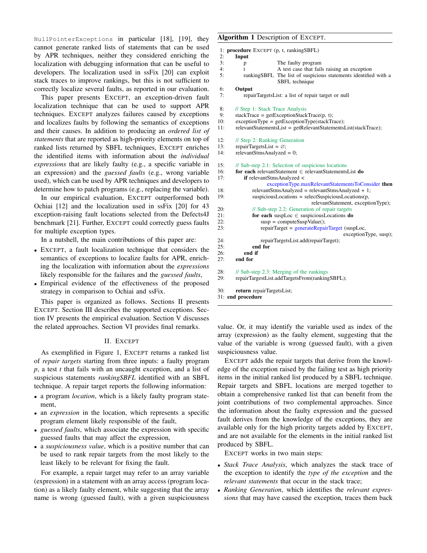NullPointerExceptions in particular [\[18\]](#page-9-16), [\[19\]](#page-9-17), they cannot generate ranked lists of statements that can be used by APR techniques, neither they considered enriching the localization with debugging information that can be useful to developers. The localization used in ssFix [\[20\]](#page-9-18) can exploit stack traces to improve rankings, but this is not sufficient to correctly localize several faults, as reported in our evaluation.

This paper presents EXCEPT, an exception-driven fault localization technique that can be used to support APR techniques. EXCEPT analyzes failures caused by exceptions and localizes faults by following the semantics of exceptions and their causes. In addition to producing an *ordered list of statements* that are reported as high-priority elements on top of ranked lists returned by SBFL techniques, EXCEPT enriches the identified items with information about the *individual expressions* that are likely faulty (e.g., a specific variable in an expression) and the *guessed faults* (e.g., wrong variable used), which can be used by APR techniques and developers to determine how to patch programs (e.g., replacing the variable).

In our empirical evaluation, EXCEPT outperformed both Ochiai [\[12\]](#page-9-11) and the localization used in ssFix [\[20\]](#page-9-18) for 43 exception-raising fault locations selected from the Defects4J benchmark [\[21\]](#page-9-19). Further, EXCEPT could correctly guess faults for multiple exception types.

In a nutshell, the main contributions of this paper are:

- EXCEPT, a fault localization technique that considers the semantics of exceptions to localize faults for APR, enriching the localization with information about the *expressions* likely responsible for the failures and the *guessed faults*,
- Empirical evidence of the effectiveness of the proposed strategy in comparison to Ochiai and ssFix.

This paper is organized as follows. Sections [II](#page-1-0) presents EXCEPT. Section [III](#page-3-0) describes the supported exceptions. Section [IV](#page-5-0) presents the empirical evaluation. Section [V](#page-8-0) discusses the related approaches. Section [VI](#page-9-20) provides final remarks.

#### II. EXCEPT

<span id="page-1-0"></span>As exemplified in Figure [1,](#page-2-0) EXCEPT returns a ranked list of *repair targets* starting from three inputs: a faulty program *p*, a test *t* that fails with an uncaught exception, and a list of suspicious statements *rankingSBFL* identified with an SBFL technique. A repair target reports the following information:

- a program *location*, which is a likely faulty program statement,
- an *expression* in the location, which represents a specific program element likely responsible of the fault,
- *guessed faults*, which associate the expression with specific guessed faults that may affect the expression,
- a *suspiciousness value*, which is a positive number that can be used to rank repair targets from the most likely to the least likely to be relevant for fixing the fault.

For example, a repair target may refer to an array variable (expression) in a statement with an array access (program location) as a likely faulty element, while suggesting that the array name is wrong (guessed fault), with a given suspiciousness

# <span id="page-1-1"></span>Algorithm 1 Description of EXCEPT.

|     | 1: <b>procedure</b> EXCEPT (p, t, rankingSBFL) |                                                                                            |
|-----|------------------------------------------------|--------------------------------------------------------------------------------------------|
| 2:  | Input                                          |                                                                                            |
| 3:  | p                                              | The faulty program                                                                         |
| 4:  | $\mathbf{f}$                                   | A test case that fails raising an exception                                                |
| 5:  |                                                | rankingSBFL The list of suspicious statements identified with a<br>SBFL technique          |
| 6:  | Output                                         |                                                                                            |
| 7:  |                                                | repairTargetsList: a list of repair target or null                                         |
| 8:  | // Step 1: Stack Trace Analysis                |                                                                                            |
| 9:  |                                                | $stackTrace = getExceptionStackTrace(p, t);$                                               |
| 10: |                                                | $exceptionType = getExceptionType(stateTrace);$                                            |
| 11: |                                                | relevantStatementsList = getRelevantStatementsList(stackTrace);                            |
| 12: | // Step 2: Ranking Generation                  |                                                                                            |
| 13: | repairTargetsList = $\emptyset$ ;              |                                                                                            |
| 14: | $relevantStmsAnalyzed = 0;$                    |                                                                                            |
| 15: |                                                | // Sub-step 2.1: Selection of suspicious locations                                         |
| 16: |                                                | for each relevantStatement $\in$ relevantStatementsList do                                 |
| 17: | if relevantStmsAnalyzed <                      |                                                                                            |
|     |                                                | exceptionType.maxRelevantStatementsToConsider then                                         |
| 18: |                                                | $relevantStrusAnalyzed = relevantStrusAnalyzed + 1;$                                       |
| 19: |                                                | $suspiciousLocations = selectSuspiciousLocations(p,$<br>relevantStatement, exceptionType); |
| 20: |                                                | $\text{/}$ Sub-step 2.2: Generation of repair targets                                      |
| 21: |                                                | for each susploc $\in$ suspicious Locations do                                             |
| 22: |                                                | $susp = computeSuspValue();$                                                               |
| 23: |                                                | repairTarget = generateRepairTarget (suspLoc,<br>exceptionType, susp);                     |
| 24: |                                                | repairTargetsList.add(repairTarget);                                                       |
| 25: | end for                                        |                                                                                            |
| 26: | end if                                         |                                                                                            |
| 27: | end for                                        |                                                                                            |
| 28: |                                                | // Sub-step 2.3: Merging of the rankings                                                   |
| 29: |                                                | repairTargestList.addTargetsFrom(rankingSBFL);                                             |
| 20. | notuun ronoirToroateLiett                      |                                                                                            |

r**eturn** repairTargetsList 31: end procedure

value. Or, it may identify the variable used as index of the array (expression) as the faulty element, suggesting that the value of the variable is wrong (guessed fault), with a given suspiciousness value.

EXCEPT adds the repair targets that derive from the knowledge of the exception raised by the failing test as high priority items in the initial ranked list produced by a SBFL technique. Repair targets and SBFL locations are merged together to obtain a comprehensive ranked list that can benefit from the joint contributions of two complemental approaches. Since the information about the faulty expression and the guessed fault derives from the knowledge of the exceptions, they are available only for the high priority targets added by EXCEPT, and are not available for the elements in the initial ranked list produced by SBFL.

EXCEPT works in two main steps:

- *Stack Trace Analysis*, which analyzes the stack trace of the exception to identify the *type of the exception* and the *relevant statements* that occur in the stack trace;
- *Ranking Generation*, which identifies the *relevant expressions* that may have caused the exception, traces them back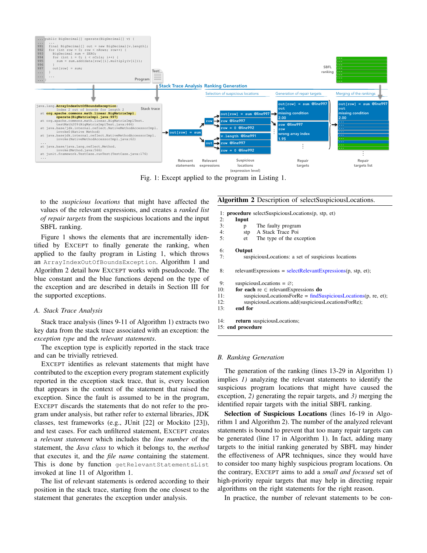<span id="page-2-0"></span>

Fig. 1: Except applied to the program in Listing [1.](#page-4-0)

to the *suspicious locations* that might have affected the values of the relevant expressions, and creates a *ranked list of repair targets* from the suspicious locations and the input SBFL ranking.

Figure [1](#page-2-0) shows the elements that are incrementally identified by EXCEPT to finally generate the ranking, when applied to the faulty program in Listing [1,](#page-4-0) which throws an ArrayIndexOutOfBoundsException. [Algorithm 1](#page-1-1) and [Algorithm 2](#page-2-1) detail how EXCEPT works with pseudocode. The blue constant and the blue functions depend on the type of the exception and are described in details in Section [III](#page-3-0) for the supported exceptions.

#### *A. Stack Trace Analysis*

Stack trace analysis (lines [9-11](#page-1-1) of [Algorithm 1\)](#page-1-1) extracts two key data from the stack trace associated with an exception: the *exception type* and the *relevant statements*.

The exception type is explicitly reported in the stack trace and can be trivially retrieved.

EXCEPT identifies as relevant statements that might have contributed to the exception every program statement explicitly reported in the exception stack trace, that is, every location that appears in the context of the statement that raised the exception. Since the fault is assumed to be in the program, EXCEPT discards the statements that do not refer to the program under analysis, but rather refer to external libraries, JDK classes, test frameworks (e.g., JUnit [\[22\]](#page-9-21) or Mockito [\[23\]](#page-9-22)), and test cases. For each unfiltered statement, EXCEPT creates a *relevant statement* which includes the *line number* of the statement, the *Java class* to which it belongs to, the *method* that executes it, and the *file name* containing the statement. This is done by function getRelevantStatementsList invoked at line [11](#page-1-1) of [Algorithm 1.](#page-1-1)

The list of relevant statements is ordered according to their position in the stack trace, starting from the one closest to the statement that generates the exception under analysis.

#### <span id="page-2-1"></span>Algorithm 2 Description of selectSuspiciousLocations.

1: **procedure** selectSuspiciousLocations(p, stp, et)<br>2: **Input** 

- 2: Input<br> $\frac{3!}{2}$  Input
- p The faulty program
- 4: stp A Stack Trace Poi<br>5: et The type of the ex-
	- 5: et The type of the exception

# 6: **Output**<br>7:  $S^{3}$

- suspiciousLocations: a set of suspicious locations
- 8: relevantExpressions =  $selectRelevantExpressions(p, stp, et);$

```
9: suspiciousLocations = \varnothing;
```

```
10: for each re ∈ relevantExpressions do<br>11: suspiciousI ocationsForRe = \frac{6}{10}
```
- $suspiciousLocationsForRe = find SuspiciousLocations(p, re, et);$
- 12: suspiciousLocations.add(suspiciousLocationsForRe);<br>13: **end for**

```
end for
```
- 14: return suspiciousLocations;
- 15: end procedure

#### *B. Ranking Generation*

The generation of the ranking (lines [13-29](#page-1-1) in [Algorithm 1\)](#page-1-1) implies *1)* analyzing the relevant statements to identify the suspicious program locations that might have caused the exception, *2)* generating the repair targets, and *3)* merging the identified repair targets with the initial SBFL ranking.

Selection of Suspicious Locations (lines [16-19](#page-1-1) in [Algo](#page-1-1)[rithm 1](#page-1-1) and [Algorithm 2\)](#page-2-1). The number of the analyzed relevant statements is bound to prevent that too many repair targets can be generated (line [17](#page-1-1) in [Algorithm 1\)](#page-1-1). In fact, adding many targets to the initial ranking generated by SBFL may hinder the effectiveness of APR techniques, since they would have to consider too many highly suspicious program locations. On the contrary, EXCEPT aims to add a *small and focused* set of high-priority repair targets that may help in directing repair algorithms on the right statements for the right reason.

In practice, the number of relevant statements to be con-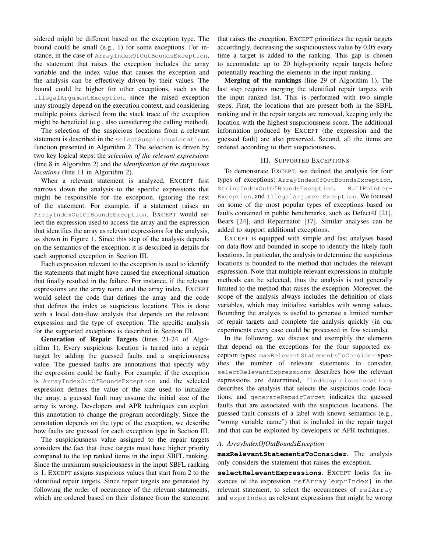sidered might be different based on the exception type. The bound could be small (e.g., 1) for some exceptions. For instance, in the case of ArrayIndexOfOutBoundsException, the statement that raises the exception includes the array variable and the index value that causes the exception and the analysis can be effectively driven by their values. The bound could be higher for other exceptions, such as the IllegalArgumentException, since the raised exception may strongly depend on the execution context, and considering multiple points derived from the stack trace of the exception might be beneficial (e.g., also considering the calling method).

The selection of the suspicious locations from a relevant statement is described in the selectSuspiciousLocations function presented in [Algorithm 2.](#page-2-1) The selection is driven by two key logical steps: the *selection of the relevant expressions* (line [8](#page-2-1) in [Algorithm 2\)](#page-2-1) and the *identification of the suspicious locations* (line [11](#page-2-1) in [Algorithm 2\)](#page-2-1).

When a relevant statement is analyzed, EXCEPT first narrows down the analysis to the specific expressions that might be responsible for the exception, ignoring the rest of the statement. For example, if a statement raises an ArrayIndexOutOfBoundsException, EXCEPT would select the expression used to access the array and the expression that identifies the array as relevant expressions for the analysis, as shown in Figure [1.](#page-2-0) Since this step of the analysis depends on the semantics of the exception, it is described in details for each supported exception in Section [III.](#page-3-0)

Each expression relevant to the exception is used to identify the statements that might have caused the exceptional situation that finally resulted in the failure. For instance, if the relevant expressions are the array name and the array index, EXCEPT would select the code that defines the array and the code that defines the index as suspicious locations. This is done with a local data-flow analysis that depends on the relevant expression and the type of exception. The specific analysis for the supported exceptions is described in Section [III.](#page-3-0)

Generation of Repair Targets (lines [21-24](#page-1-1) of [Algo](#page-1-1)[rithm 1\)](#page-1-1). Every suspicious location is turned into a repair target by adding the guessed faults and a suspiciousness value. The guessed faults are annotations that specify why the expression could be faulty. For example, if the exception is ArrayIndexOutOfBoundsException and the selected expression defines the value of the size used to initialize the array, a guessed fault may assume the initial size of the array is wrong. Developers and APR techniques can exploit this annotation to change the program accordingly. Since the annotation depends on the type of the exception, we describe how faults are guessed for each exception type in Section [III.](#page-3-0)

The suspiciousness value assigned to the repair targets considers the fact that these targets must have higher priority compared to the top ranked items in the input SBFL ranking. Since the maximum suspiciousness in the input SBFL ranking is 1, EXCEPT assigns suspicious values that start from 2 to the identified repair targets. Since repair targets are generated by following the order of occurrence of the relevant statements, which are ordered based on their distance from the statement that raises the exception, EXCEPT prioritizes the repair targets accordingly, decreasing the suspiciousness value by 0.05 every time a target is added to the ranking. This gap is chosen to accomodate up to 20 high-priority repair targets before potentially reaching the elements in the input ranking.

Merging of the rankings (line [29](#page-1-1) of [Algorithm 1\)](#page-1-1). The last step requires merging the identified repair targets with the input ranked list. This is performed with two simple steps. First, the locations that are present both in the SBFL ranking and in the repair targets are removed, keeping only the location with the highest suspiciousness score. The additional information produced by EXCEPT (the expression and the guessed fault) are also preserved. Second, all the items are ordered according to their suspiciousness.

# III. SUPPORTED EXCEPTIONS

<span id="page-3-0"></span>To demonstrate EXCEPT, we defined the analysis for four types of exceptions: ArrayIndexOfOutBoundsException, StringIndexOutOfBoundsException, NullPointer-Exception, and IllegalArgumentException. We focused on some of the most popular types of exceptions based on faults contained in public benchmarks, such as Defect4J [\[21\]](#page-9-19), Bears [\[24\]](#page-9-23), and Repairnator [\[17\]](#page-9-15). Similar analyses can be added to support additional exceptions.

EXCEPT is equipped with simple and fast analyses based on data flow and bounded in scope to identify the likely fault locations. In particular, the analysis to determine the suspicious locations is bounded to the method that includes the relevant expression. Note that multiple relevant expressions in multiple methods can be selected, thus the analysis is not generally limited to the method that raises the exception. Moreover, the scope of the analysis always includes the definition of class variables, which may initialize variables with wrong values. Bounding the analysis is useful to generate a limited number of repair targets and complete the analysis quickly (in our experiments every case could be processed in few seconds).

In the following, we discuss and exemplify the elements that depend on the exceptions for the four supported exception types: maxRelevantStatementsToConsider specifies the number of relevant statements to consider, selectRelevantExpressions describes how the relevant expressions are determined, findSuspiciousLocations describes the analysis that selects the suspicious code locations, and generateRepairTarget indicates the guessed faults that are associated with the suspicious locations. The guessed fault consists of a label with known semantics (e.g., "wrong variable name") that is included in the repair target and that can be exploited by developers or APR techniques.

#### *A. ArrayIndexOfOutBoundsException*

**maxRelevantStatementsToConsider**. The analysis only considers the statement that raises the exception.

**selectRelevantExpressions**. EXCEPT looks for instances of the expression refArray[exprIndex] in the relevant statement, to select the occurrences of refArray and exprIndex as relevant expressions that might be wrong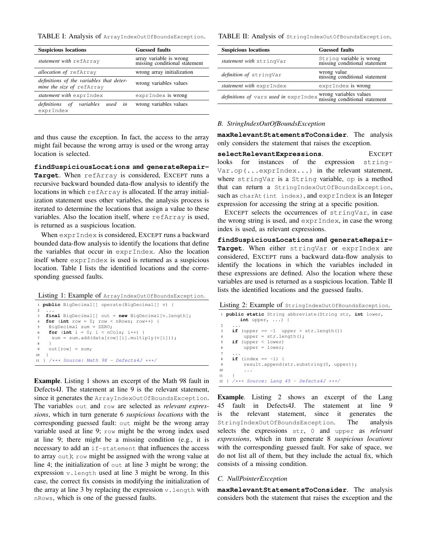<span id="page-4-1"></span>TABLE I: Analysis of ArrayIndexOutOfBoundsException.

| <b>Suspicious locations</b>                                           | <b>Guessed faults</b>                                    |  |  |
|-----------------------------------------------------------------------|----------------------------------------------------------|--|--|
| statement with refArray                                               | array variable is wrong<br>missing conditional statement |  |  |
| allocation of refArray                                                | wrong array initialization                               |  |  |
| definitions of the variables that deter-<br>mine the size of refArray | wrong variables values                                   |  |  |
| statement with exprIndex                                              | exprIndex is wrong                                       |  |  |
| <i>definitions of variables</i><br>used in<br>exprIndex               | wrong variables values                                   |  |  |

and thus cause the exception. In fact, the access to the array might fail because the wrong array is used or the wrong array location is selected.

**findSuspiciousLocations** and **generateRepair-Target**. When refArray is considered, EXCEPT runs a recursive backward bounded data-flow analysis to identify the locations in which refArray is allocated. If the array initialization statement uses other variables, the analysis process is iterated to determine the locations that assign a value to these variables. Also the location itself, where refArray is used, is returned as a suspicious location.

When exprIndex is considered, EXCEPT runs a backward bounded data-flow analysis to identify the locations that define the variables that occur in exprIndex. Also the location itself where exprIndex is used is returned as a suspicious location. Table [I](#page-4-1) lists the identified locations and the corresponding guessed faults.

<span id="page-4-0"></span>

|  | Listing 1: Example of ArrayIndexOutOfBoundsException. |  |
|--|-------------------------------------------------------|--|
|--|-------------------------------------------------------|--|

```
1 public BigDecimal[] operate(BigDecimal[] v) {
2 ...
3 final BigDecimal[] out = new BigDecimal[v.length];
4 for (int row = 0; row < nRows; row++) {
   BigDecimal sum = ZERO;
    for (int i = 0; i < nCols; i++) {
     sum = sum.add(data[row][i].multiply(v[i]));
8 }
9 out [row] = sum:
10 }
11 } /*** Source: Math 98 - Defects4J ***/
```
<span id="page-4-2"></span>Example. [Listing 1](#page-4-0) shows an excerpt of the Math 98 fault in Defects4J. The statement at line [9](#page-4-2) is the relevant statement, since it generates the ArrayIndexOutOfBoundsException. The variables out and row are selected as *relevant expressions*, which in turn generate 6 *suspicious locations* with the corresponding guessed fault: out might be the wrong array variable used at line [9;](#page-4-2) row might be the wrong index used at line [9;](#page-4-2) there might be a missing condition (e.g., it is necessary to add an if-statement that influences the access to array out); row might be assigned with the wrong value at line [4;](#page-4-3) the initialization of out at line [3](#page-4-4) might be wrong; the expression v.length used at line [3](#page-4-4) might be wrong. In this case, the correct fix consists in modifying the initialization of the array at line  $3$  by replacing the expression  $v$ . length with nRows, which is one of the guessed faults.

<span id="page-4-5"></span>TABLE II: Analysis of StringIndexOutOfBoundsException.

| <b>Suspicious locations</b>                                  | <b>Guessed faults</b>                                     |
|--------------------------------------------------------------|-----------------------------------------------------------|
| statement with stringVar                                     | String variable is wrong<br>missing conditional statement |
| definition of stringVar                                      | wrong value<br>missing conditional statement              |
| statement with exprIndex                                     | exprIndex is wrong                                        |
| definitions of vars used in exprIndex wrong variables values |                                                           |

#### *B. StringIndexOutOfBoundsException*

**maxRelevantStatementsToConsider**. The analysis only considers the statement that raises the exception.

**selectRelevantExpressions**. EXCEPT looks for instances of the expression string-Var.op(...exprIndex...) in the relevant statement, where stringVar is a String variable, op is a method that can return a StringIndexOutOfBoundsException, such as charAt(int index), and exprIndex is an Integer expression for accessing the string at a specific position.

EXCEPT selects the occurrences of stringVar, in case the wrong string is used, and exprIndex, in case the wrong index is used, as relevant expressions.

**findSuspiciousLocations** and **generateRepair-Target**. When either stringVar or exprIndex are considered, EXCEPT runs a backward data-flow analysis to identify the locations in which the variables included in these expressions are defined. Also the location where these variables are used is returned as a suspicious location. Table [II](#page-4-5) lists the identified locations and the guessed faults.

<span id="page-4-6"></span>Listing 2: Example of stringIndexOutOfBoundsException.

```
1 public static String abbreviate(String str, int lower,
       int upper, ...) {
2 ...
    if (upper == -1 upper > str.length())upper = str.length();
    5 if (upper < lower)
        upper = lower;
7 ...
    if (index == -1) {
        9 result.append(str.substring(0, upper));
10 . . .
1112 } /*** Source: Lang 45 - Defects4J ***/
```
<span id="page-4-7"></span>Example. [Listing 2](#page-4-6) shows an excerpt of the Lang 45 fault in Defects4J. The statement at line [9](#page-4-7) is the relevant statement, since it generates the StringIndexOutOfBoundsException. The analysis selects the expressions str, 0 and upper as *relevant expressions*, which in turn generate 8 *suspicious locations* with the corresponding guessed fault. For sake of space, we do not list all of them, but they include the actual fix, which consists of a missing condition.

#### *C. NullPointerException*

**maxRelevantStatementsToConsider**. The analysis considers both the statement that raises the exception and the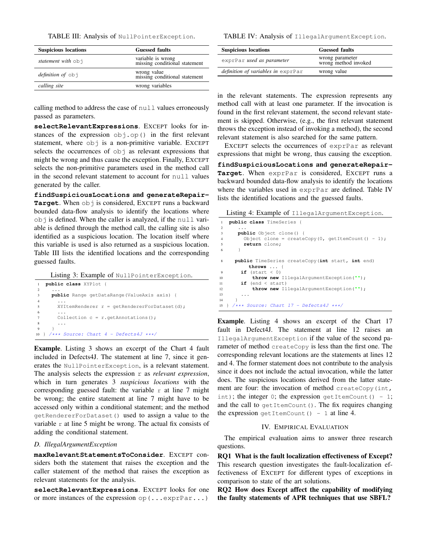<span id="page-5-1"></span>TABLE III: Analysis of NullPointerException.

| <b>Suspicious locations</b> | <b>Guessed faults</b>                              |
|-----------------------------|----------------------------------------------------|
| statement with obj          | variable is wrong<br>missing conditional statement |
| <i>definition of</i> obj    | wrong value<br>missing conditional statement       |
| calling site                | wrong variables                                    |

calling method to address the case of null values erroneously passed as parameters.

**selectRelevantExpressions**. EXCEPT looks for instances of the expression  $obj.op()$  in the first relevant statement, where  $obj$  is a non-primitive variable. EXCEPT selects the occurrences of  $\circ$ b i as relevant expressions that might be wrong and thus cause the exception. Finally, EXCEPT selects the non-primitive parameters used in the method call in the second relevant statement to account for null values generated by the caller.

**findSuspiciousLocations** and **generateRepair-**Target. When obj is considered, EXCEPT runs a backward bounded data-flow analysis to identify the locations where obj is defined. When the caller is analyzed, if the null variable is defined through the method call, the calling site is also identified as a suspicious location. The location itself where this variable is used is also returned as a suspicious location. Table [III](#page-5-1) lists the identified locations and the corresponding guessed faults.

Listing 3: Example of NullPointerException.

<span id="page-5-4"></span><span id="page-5-3"></span><span id="page-5-2"></span>

| $\mathbf{1}$   | public class XYPlot {                               |
|----------------|-----------------------------------------------------|
| $\mathfrak{D}$ |                                                     |
| 3              | <b>public</b> Range getDataRange (ValueAxis axis) { |
| $\overline{4}$ |                                                     |
|                | $XYItemRenderer r = getRendererForDatabase (d);$    |
| 6              |                                                     |
|                | Collection $c = r \cdot q$ etAnnotations();         |
| 8              |                                                     |
| 9              |                                                     |
| 10             | $\}$ /*** Source: Chart 4 - Defects4J ***/          |

Example. [Listing 3](#page-5-2) shows an excerpt of the Chart 4 fault included in Defects4J. The statement at line [7,](#page-5-3) since it generates the NullPointerException, is a relevant statement. The analysis selects the expression r as *relevant expression*, which in turn generates 3 *suspicious locations* with the corresponding guessed fault: the variable  $r$  at line [7](#page-5-3) might be wrong; the entire statement at line [7](#page-5-3) might have to be accessed only within a conditional statement; and the method getRendererForDataset() used to assign a value to the variable  $r$  at line [5](#page-5-4) might be wrong. The actual fix consists of adding the conditional statement.

### *D. IllegalArgumentException*

**maxRelevantStatementsToConsider**. EXCEPT considers both the statement that raises the exception and the caller statement of the method that raises the exception as relevant statements for the analysis.

**selectRelevantExpressions**. EXCEPT looks for one or more instances of the expression  $op(\ldots exprPar...)$ 

<span id="page-5-5"></span>TABLE IV: Analysis of IllegalArgumentException.

| <b>Suspicious locations</b>        | <b>Guessed faults</b>                   |  |  |
|------------------------------------|-----------------------------------------|--|--|
| exprPar used as parameter          | wrong parameter<br>wrong method invoked |  |  |
| definition of variables in exprPar | wrong value                             |  |  |

in the relevant statements. The expression represents any method call with at least one parameter. If the invocation is found in the first relevant statement, the second relevant statement is skipped. Otherwise, (e.g., the first relevant statement throws the exception instead of invoking a method), the second relevant statement is also searched for the same pattern.

EXCEPT selects the occurrences of exprPar as relevant expressions that might be wrong, thus causing the exception.

**findSuspiciousLocations** and **generateRepair-Target**. When exprPar is considered, EXCEPT runs a backward bounded data-flow analysis to identify the locations where the variables used in exprPar are defined. Table [IV](#page-5-5) lists the identified locations and the guessed faults.

<span id="page-5-6"></span>Listing 4: Example of IllegalArgumentException.

<span id="page-5-8"></span>

| $\mathbf{1}$   | public class TimeSeries {                               |  |  |  |  |
|----------------|---------------------------------------------------------|--|--|--|--|
| 2              |                                                         |  |  |  |  |
| 3              | <b>public</b> Object clone() {                          |  |  |  |  |
| $\overline{4}$ | Object clone = createCopy(0, qetItemCount() - 1);       |  |  |  |  |
| 5              | return clone;                                           |  |  |  |  |
| -6             |                                                         |  |  |  |  |
| 8              | <b>public</b> TimeSeries createCopy(int start, int end) |  |  |  |  |
|                | throws $\ldots$ {                                       |  |  |  |  |
| 9              | if (start $\langle 0 \rangle$                           |  |  |  |  |
| 10             | throw new IllegalArgumentException("");                 |  |  |  |  |
| 11             | $if$ (end < start)                                      |  |  |  |  |
| 12             | throw new IllegalArgumentException("");                 |  |  |  |  |
| 13             | .                                                       |  |  |  |  |
| 14             |                                                         |  |  |  |  |
|                | $15$ } $/***$ Source: Chart 17 - Defects4J ***/         |  |  |  |  |

<span id="page-5-7"></span>Example. [Listing 4](#page-5-6) shows an excerpt of the Chart 17 fault in Defect4J. The statement at line [12](#page-5-7) raises an IllegalArgumentException if the value of the second parameter of method createCopy is less than the first one. The corresponding relevant locations are the statements at lines [12](#page-5-7) and [4.](#page-5-8) The former statement does not contribute to the analysis since it does not include the actual invocation, while the latter does. The suspicious locations derived from the latter statement are four: the invocation of method createCopy(int, int); the integer 0; the expression getItemCount() - 1; and the call to  $q$ etItemCount(). The fix requires changing the expression getItemCount() - 1 at line [4.](#page-5-8)

#### IV. EMPIRICAL EVALUATION

<span id="page-5-0"></span>The empirical evaluation aims to answer three research questions.

RQ1 What is the fault localization effectiveness of Except? This research question investigates the fault-localization effectiveness of EXCEPT for different types of exceptions in comparison to state of the art solutions.

RQ2 How does Except affect the capability of modifying the faulty statements of APR techniques that use SBFL?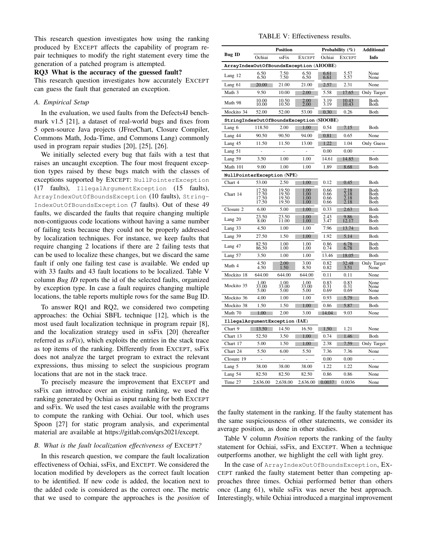This research question investigates how using the ranking produced by EXCEPT affects the capability of program repair techniques to modify the right statement every time the generation of a patched program is attempted.

#### RQ3 What is the accuracy of the guessed fault?

This research question investigates how accurately EXCEPT can guess the fault that generated an exception.

# *A. Empirical Setup*

In the evaluation, we used faults from the Defects4J benchmark v1.5 [\[21\]](#page-9-19), a dataset of real-world bugs and fixes from 5 open-source Java projects (JFreeChart, Closure Compiler, Commons Math, Joda-Time, and Commons Lang) commonly used in program repair studies [\[20\]](#page-9-18), [\[25\]](#page-9-24), [\[26\]](#page-9-25).

We initially selected every bug that fails with a test that raises an uncaught exception. The four most frequent exception types raised by these bugs match with the classes of exceptions supported by EXCEPT: NullPointerException (17 faults), IllegalArgumentException (15 faults), ArrayIndexOutOfBoundsException (10 faults), String-IndexOutOfBoundsException (7 faults). Out of these 49 faults, we discarded the faults that require changing multiple non-contiguous code locations without having a same number of failing tests because they could not be properly addressed by localization techniques. For instance, we keep faults that require changing 2 locations if there are 2 failing tests that can be used to localize these changes, but we discard the same fault if only one failing test case is available. We ended up with 33 faults and 43 fault locations to be localized. [Table V](#page-6-0) column *Bug ID* reports the id of the selected faults, organized by exception type. In case a fault requires changing multiple locations, the table reports multiple rows for the same Bug ID.

To answer RQ1 and RQ2, we considered two competing approaches: the Ochiai SBFL technique [\[12\]](#page-9-11), which is the most used fault localization technique in program repair [\[8\]](#page-9-7), and the localization strategy used in ssFix [\[20\]](#page-9-18) (hereafter referred as *ssFix*), which exploits the entries in the stack trace as top items of the ranking. Differently from EXCEPT, ssFix does not analyze the target program to extract the relevant expressions, thus missing to select the suspicious program locations that are not in the stack trace.

To precisely measure the improvement that EXCEPT and ssFix can introduce over an existing ranking, we used the ranking generated by Ochiai as input ranking for both EXCEPT and ssFix. We used the test cases available with the programs to compute the ranking with Ochiai. Our tool, which uses Spoon [\[27\]](#page-9-26) for static program analysis, and experimental material are available at [https://gitlab.com/qrs2021/except.](https://gitlab.com/qrs2021/except)

### *B. What is the fault localization effectiveness of* EXCEPT*?*

In this research question, we compare the fault localization effectiveness of Ochiai, ssFix, and EXCEPT. We considered the location modified by developers as the correct fault location to be identified. If new code is added, the location next to the added code is considered as the correct one. The metric that we used to compare the approaches is the *position* of

TABLE V: Effectiveness results.

<span id="page-6-0"></span>

|                                          | <b>Position</b>                         |                                  | Probability $(\%)$                  |                              | Additional                   |                              |
|------------------------------------------|-----------------------------------------|----------------------------------|-------------------------------------|------------------------------|------------------------------|------------------------------|
| <b>Bug ID</b>                            | Ochiai                                  | ssFix                            | <b>EXCEPT</b>                       | Ochiai                       | <b>EXCEPT</b>                | Info                         |
|                                          | ArrayIndexOutOfBoundsException (AIOOBE) |                                  |                                     |                              |                              |                              |
| Lang 12                                  | 6.50<br>6.50                            | 7.50<br>7.50                     | 6.50<br>6.50                        | 6.61<br>6.61                 | 5.57<br>5.57                 | None<br>None                 |
| Lang 61                                  | 20.00                                   | 21.00                            | 21.00                               | 2.57                         | 2.31                         | None                         |
| Math 3                                   | 9.50                                    | 10.00                            | 2.00                                | 5.58                         | 17.65                        | Only Target                  |
| Math 98                                  | 10.00<br>10.00                          | 10.50                            | 2.00<br>2.00                        | $\frac{3.19}{3.19}$          | 10.43<br>10.43               | Both<br>Both                 |
| Mockito 34                               | 52.00                                   | 52.00                            | 53.00                               | 0.30                         | 0.26                         | Both                         |
| StringIndexOutOfBoundsException (SIOOBE) |                                         |                                  |                                     |                              |                              |                              |
| Lang 6                                   | 118.50                                  | 2.00                             | 1.00                                | 0.54                         | 7.15                         | Both                         |
| Lang 44                                  | 90.50                                   | 90.50                            | 94.00                               | $_{0.81}$                    | 0.65                         | None                         |
| Lang 45                                  | 11.50                                   | 11.50                            | 13.00                               | 1.22                         | 1.04                         | Only Guess                   |
| Lang 51                                  |                                         |                                  | ÷,                                  | 0.00                         | $_{0.00}$                    |                              |
| Lang 59                                  | 3.50                                    | 1.00                             | 1.00                                | 14.61                        | 14.85                        | Both                         |
| Math 101                                 | 9.00                                    | 1.00                             | 1.00                                | 1.89                         | 8.68                         | Both                         |
| NullPointerException (NPE)               |                                         |                                  |                                     |                              |                              |                              |
| Chart 4                                  | 53.00                                   | 2.50                             | 1.00                                | 0.12                         | 0.45                         | Both                         |
| Chart 14                                 | 17.50<br>17.50<br>17.50<br>17.50        | 19.50<br>19.50<br>19.50<br>19.50 | 1.00<br>$\frac{1.00}{1.00}$<br>1.00 | 0.66<br>0.66<br>0.66<br>0.66 | 2.18<br>2.18<br>2.18<br>2.18 | Both<br>Both<br>Both<br>Both |
| Closure 2                                | 6.00                                    | 5.00                             | 1.00                                | 0.33                         | 2.63                         | Both                         |
| Lang 20                                  | 23.50<br>8.00                           | 23.50<br>11.00                   | $_{\rm 1.00}$<br>1.00               | $\frac{2.43}{3.47}$          | 9.86<br>12.17                | Both<br>Both                 |
| Lang 33                                  | 4.50                                    | 1.00                             | 1.00                                | 7.96                         | 13.74                        | Both                         |
| Lang 39                                  | 27.50                                   | 1.50                             | $_{1.00}$                           | 1.92                         | 5.14                         | Both                         |
| Lang 47                                  | 82.50<br>86.50                          | 1.00<br>1.00                     | $1.00\,$<br>1.00                    | $0.86$<br>$0.74$             | $6.78$<br>$6.78$             | Both<br>Both                 |
| Lang 57                                  | 3.50                                    | 1.00                             | 1.00                                | 13.46                        | 18.05                        | <b>B</b> oth                 |
| Math 4                                   | 4.50<br>4.50                            | 2.00<br>1.50                     | 3.00<br>8.50                        | $_{0.82}$<br>0.82            | 32.48<br>3.51                | Only Target<br>None          |
| Mockito 18                               | 644.00                                  | 644.00                           | 644.00                              | $_{0.11}$                    | 0.11                         | None                         |
| Mockito 35                               | 1.00<br>33.00<br>5.00                   | 1.00<br>33.00<br>5.00            | 1,00<br>33.00<br>5.00               | $0.83$<br>$0.31$<br>0.69     | 0.83<br>0.31<br>0.69         | None<br>None<br>None         |
| Mockito 36                               | 4.00                                    | 1.00                             | 1.00                                | 0.93                         | 5.79                         | Both                         |
| Mockito 38                               | 1.50                                    | 1.50                             | 1.00                                | 0.86                         | 5.87                         | Both                         |
| Math 70                                  | 1.00                                    | 2.00                             | 3.00                                | 14.04                        | 9.03                         | None                         |
| IllegalArgumentException (IAE)           |                                         |                                  |                                     |                              |                              |                              |
| Chart 9                                  | 13.50                                   | 14.50                            | 16.50                               | 1.50                         | 1.21                         | None                         |
| Chart 13                                 | 52.50                                   | 3.50                             | 1.00                                | 0.74                         | 1.46                         | Both                         |
| Chart 17                                 | 5.00                                    | 1.50                             | 1.00                                | 2.38                         | 7.59                         | Only Target                  |
| Chart 24                                 | 5.50                                    | 6.00                             | 5.50                                | 7.36                         | 7.36                         | None                         |
| Closure 19                               |                                         |                                  |                                     | 0.00                         | 0.00                         |                              |
| Lang 5                                   | 38.00                                   | 38.00                            | 38.00                               | 1.22                         | 1.22                         | None                         |
| Lang 54                                  | 82.50                                   | 82.50                            | 82.50                               | 0.86                         | 0.86                         | None                         |
| Time 27                                  | 2,636.00                                | 2,638.00                         | 2,636.00                            | 0.0037                       | 0.0036                       | None                         |

the faulty statement in the ranking. If the faulty statement has the same suspiciousness of other statements, we consider its average position, as done in other studies.

[Table V](#page-6-0) column *Position* reports the ranking of the faulty statement for Ochiai, ssFix, and EXCEPT. When a technique outperforms another, we highlight the cell with light grey.

In the case of ArrayIndexOutOfBoundsException, EX-CEPT ranked the faulty statement better than competing approaches three times. Ochiai performed better than others once (Lang 61), while ssFix was never the best approach. Interestingly, while Ochiai introduced a marginal improvement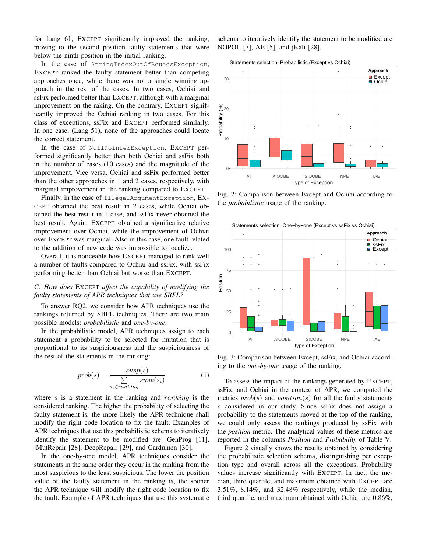for Lang 61, EXCEPT significantly improved the ranking, moving to the second position faulty statements that were below the ninth position in the initial ranking.

In the case of StringIndexOutOfBoundsException, EXCEPT ranked the faulty statement better than competing approaches once, while there was not a single winning approach in the rest of the cases. In two cases, Ochiai and ssFix performed better than EXCEPT, although with a marginal improvement on the raking. On the contrary, EXCEPT significantly improved the Ochiai ranking in two cases. For this class of exceptions, ssFix and EXCEPT performed similarly. In one case, (Lang 51), none of the approaches could locate the correct statement.

In the case of NullPointerException, EXCEPT performed significantly better than both Ochiai and ssFix both in the number of cases (10 cases) and the magnitude of the improvement. Vice versa, Ochiai and ssFix performed better than the other approaches in 1 and 2 cases, respectively, with marginal improvement in the ranking compared to EXCEPT.

Finally, in the case of IllegalArgumentException, EX-CEPT obtained the best result in 2 cases, while Ochiai obtained the best result in 1 case, and ssFix never obtained the best result. Again, EXCEPT obtained a significative relative improvement over Ochiai, while the improvement of Ochiai over EXCEPT was marginal. Also in this case, one fault related to the addition of new code was impossible to localize.

Overall, it is noticeable how EXCEPT managed to rank well a number of faults compared to Ochiai and ssFix, with ssFix performing better than Ochiai but worse than EXCEPT.

# *C. How does* EXCEPT *affect the capability of modifying the faulty statements of APR techniques that use SBFL?*

To answer RQ2, we consider how APR techniques use the rankings returned by SBFL techniques. There are two main possible models: *probabilistic* and *one-by-one*.

In the probabilistic model, APR techniques assign to each statement a probability to be selected for mutation that is proportional to its suspiciousness and the suspiciousness of the rest of the statements in the ranking:

$$
prob(s) = \frac{susp(s)}{\sum_{s_i \in ranking} susp(s_i)} \tag{1}
$$

where s is a statement in the ranking and ranking is the considered ranking. The higher the probability of selecting the faulty statement is, the more likely the APR technique shall modify the right code location to fix the fault. Examples of APR techniques that use this probabilistic schema to iteratively identify the statement to be modified are jGenProg [\[11\]](#page-9-10), jMutRepair [\[28\]](#page-9-27), DeepRepair [\[29\]](#page-9-28), and Cardumen [\[30\]](#page-9-29).

In the one-by-one model, APR techniques consider the statements in the same order they occur in the ranking from the most suspicious to the least suspicious. The lower the position value of the faulty statement in the ranking is, the sooner the APR technique will modify the right code location to fix the fault. Example of APR techniques that use this systematic schema to iteratively identify the statement to be modified are NOPOL [\[7\]](#page-9-6), AE [\[5\]](#page-9-4), and jKali [\[28\]](#page-9-27).

Statements selection: Probabilistic (Except vs Ochiai)

<span id="page-7-0"></span>

Fig. 2: Comparison between Except and Ochiai according to the *probabilistic* usage of the ranking.

<span id="page-7-1"></span>

Fig. 3: Comparison between Except, ssFix, and Ochiai according to the *one-by-one* usage of the ranking.

To assess the impact of the rankings generated by EXCEPT, ssFix, and Ochiai in the context of APR, we computed the metrics  $prob(s)$  and  $position(s)$  for all the faulty statements s considered in our study. Since ssFix does not assign a probability to the statements moved at the top of the ranking, we could only assess the rankings produced by ssFix with the *position* metric. The analytical values of these metrics are reported in the columns *Position* and *Probability* of Table [V.](#page-6-0)

Figure [2](#page-7-0) visually shows the results obtained by considering the probabilistic selection schema, distinguishing per exception type and overall across all the exceptions. Probability values increase significantly with EXCEPT. In fact, the median, third quartile, and maximum obtained with EXCEPT are 3.51%, 8.14%, and 32.48% respectively, while the median, third quartile, and maximum obtained with Ochiai are 0.86%,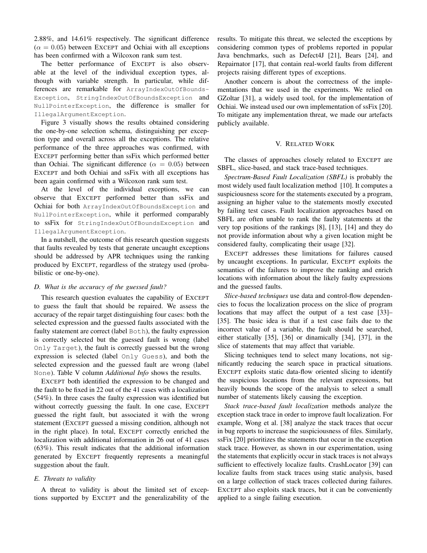2.88%, and 14.61% respectively. The significant difference  $(\alpha = 0.05)$  between EXCEPT and Ochiai with all exceptions has been confirmed with a Wilcoxon rank sum test.

The better performance of EXCEPT is also observable at the level of the individual exception types, although with variable strength. In particular, while differences are remarkable for ArrayIndexOutOfBounds-Exception, StringIndexOutOfBoundsException and NullPointerException, the difference is smaller for IllegalArgumentException.

Figure [3](#page-7-1) visually shows the results obtained considering the one-by-one selection schema, distinguishing per exception type and overall across all the exceptions. The relative performance of the three approaches was confirmed, with EXCEPT performing better than ssFix which performed better than Ochiai. The significant difference ( $\alpha = 0.05$ ) between EXCEPT and both Ochiai and ssFix with all exceptions has been again confirmed with a Wilcoxon rank sum test.

At the level of the individual exceptions, we can observe that EXCEPT performed better than ssFix and Ochiai for both ArrayIndexOutOfBoundsException and NullPointerException, while it performed comparably to ssFix for StringIndexOutOfBoundsException and IllegalArgumentException.

In a nutshell, the outcome of this research question suggests that faults revealed by tests that generate uncaught exceptions should be addressed by APR techniques using the ranking produced by EXCEPT, regardless of the strategy used (probabilistic or one-by-one).

#### *D. What is the accuracy of the guessed fault?*

This research question evaluates the capability of EXCEPT to guess the fault that should be repaired. We assess the accuracy of the repair target distinguishing four cases: both the selected expression and the guessed faults associated with the faulty statement are correct (label Both), the faulty expression is correctly selected but the guessed fault is wrong (label Only Target), the fault is correctly guessed but the wrong expression is selected (label Only Guess), and both the selected expression and the guessed fault are wrong (label None). [Table V](#page-6-0) column *Additional Info* shows the results.

EXCEPT both identified the expression to be changed and the fault to be fixed in 22 out of the 41 cases with a localization (54%). In three cases the faulty expression was identified but without correctly guessing the fault. In one case, EXCEPT guessed the right fault, but associated it with the wrong statement (EXCEPT guessed a missing condition, although not in the right place). In total, EXCEPT correctly enriched the localization with additional information in 26 out of 41 cases (63%). This result indicates that the additional information generated by EXCEPT frequently represents a meaningful suggestion about the fault.

### *E. Threats to validity*

A threat to validity is about the limited set of exceptions supported by EXCEPT and the generalizability of the results. To mitigate this threat, we selected the exceptions by considering common types of problems reported in popular Java benchmarks, such as Defect4J [\[21\]](#page-9-19), Bears [\[24\]](#page-9-23), and Repairnator [\[17\]](#page-9-15), that contain real-world faults from different projects raising different types of exceptions.

Another concern is about the correctness of the implementations that we used in the experiments. We relied on GZoltar [\[31\]](#page-9-30), a widely used tool, for the implementation of Ochiai. We instead used our own implementation of ssFix [\[20\]](#page-9-18). To mitigate any implementation threat, we made our artefacts publicly available.

#### V. RELATED WORK

<span id="page-8-0"></span>The classes of approaches closely related to EXCEPT are SBFL, slice-based, and stack trace-based techniques.

*Spectrum-Based Fault Localization (SBFL)* is probably the most widely used fault localization method [\[10\]](#page-9-9). It computes a suspiciousness score for the statements executed by a program, assigning an higher value to the statements mostly executed by failing test cases. Fault localization approaches based on SBFL are often unable to rank the faulty statements at the very top positions of the rankings [\[8\]](#page-9-7), [\[13\]](#page-9-12), [\[14\]](#page-9-13) and they do not provide information about why a given location might be considered faulty, complicating their usage [\[32\]](#page-9-31).

EXCEPT addresses these limitations for failures caused by uncaught exceptions. In particular, EXCEPT exploits the semantics of the failures to improve the ranking and enrich locations with information about the likely faulty expressions and the guessed faults.

*Slice-based techniques* use data and control-flow dependencies to focus the localization process on the slice of program locations that may affect the output of a test case [\[33\]](#page-9-32)– [\[35\]](#page-9-33). The basic idea is that if a test case fails due to the incorrect value of a variable, the fault should be searched, either statically [\[35\]](#page-9-33), [\[36\]](#page-9-34) or dinamically [\[34\]](#page-9-35), [\[37\]](#page-9-36), in the slice of statements that may affect that variable.

Slicing techniques tend to select many locations, not significantly reducing the search space in practical situations. EXCEPT exploits static data-flow oriented slicing to identify the suspicious locations from the relevant expressions, but heavily bounds the scope of the analysis to select a small number of statements likely causing the exception.

*Stack trace-based fault localization* methods analyze the exception stack trace in order to improve fault localization. For example, Wong et al. [\[38\]](#page-9-37) analyze the stack traces that occur in bug reports to increase the suspiciousness of files. Similarly, ssFix [\[20\]](#page-9-18) prioritizes the statements that occur in the exception stack trace. However, as shown in our experimentation, using the statements that explicitly occur in stack traces is not always sufficient to effectively localize faults. CrashLocator [\[39\]](#page-9-38) can localize faults from stack traces using static analysis, based on a large collection of stack traces collected during failures. EXCEPT also exploits stack traces, but it can be conveniently applied to a single failing execution.